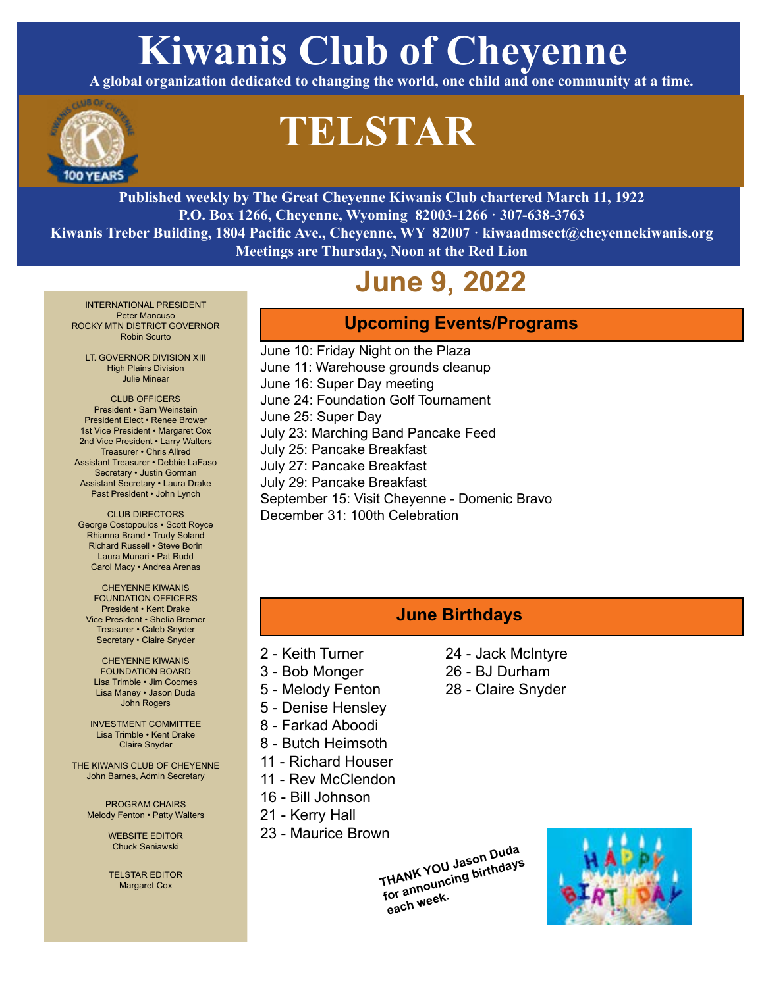# **Kiwanis Club of Cheyenne**

**A global organization dedicated to changing the world, one child and one community at a time.** 



# **TELSTAR**

**Published weekly by The Great Cheyenne Kiwanis Club chartered March 11, 1922 P.O. Box 1266, Cheyenne, Wyoming 82003-1266 · 307-638-3763 Kiwanis Treber Building, 1804 Pacific Ave., Cheyenne, WY 82007 · kiwaadmsect@cheyennekiwanis.org Meetings are Thursday, Noon at the Red Lion**

## **June 9, 2022**

INTERNATIONAL PRESIDENT Peter Mancuso ROCKY MTN DISTRICT GOVERNOR Robin Scurto

LT. GOVERNOR DIVISION XIII High Plains Division Julie Minear

CLUB OFFICERS President • Sam Weinstein President Elect • Renee Brower 1st Vice President • Margaret Cox 2nd Vice President • Larry Walters Treasurer • Chris Allred Assistant Treasurer • Debbie LaFaso Secretary • Justin Gorman Assistant Secretary • Laura Drake Past President • John Lynch

CLUB DIRECTORS George Costopoulos • Scott Royce Rhianna Brand • Trudy Soland Richard Russell • Steve Borin Laura Munari • Pat Rudd Carol Macy • Andrea Arenas

CHEYENNE KIWANIS FOUNDATION OFFICERS President • Kent Drake Vice President • Shelia Bremer Treasurer • Caleb Snyder Secretary • Claire Snyder

CHEYENNE KIWANIS FOUNDATION BOARD Lisa Trimble • Jim Coomes Lisa Maney • Jason Duda John Rogers

INVESTMENT COMMITTEE Lisa Trimble • Kent Drake Claire Snyder

THE KIWANIS CLUB OF CHEYENNE John Barnes, Admin Secretary

PROGRAM CHAIRS Melody Fenton • Patty Walters

> WEBSITE EDITOR Chuck Seniawski

> TELSTAR EDITOR Margaret Cox

### **Upcoming Events/Programs**

June 10: Friday Night on the Plaza June 11: Warehouse grounds cleanup June 16: Super Day meeting June 24: Foundation Golf Tournament June 25: Super Day July 23: Marching Band Pancake Feed July 25: Pancake Breakfast July 27: Pancake Breakfast July 29: Pancake Breakfast September 15: Visit Cheyenne - Domenic Bravo December 31: 100th Celebration

### **June Birthdays**

24 - Jack McIntyre 26 - BJ Durham 28 - Claire Snyder

- 2 Keith Turner
- 3 Bob Monger
- 5 Melody Fenton
- 5 Denise Hensley
- 8 Farkad Aboodi
- 8 Butch Heimsoth
- 11 Richard Houser
- 11 Rev McClendon
- 16 Bill Johnson
- 21 Kerry Hall
- 23 Maurice Brown

**THANK YOU Jason Duda for announcing birthdays each week.** 

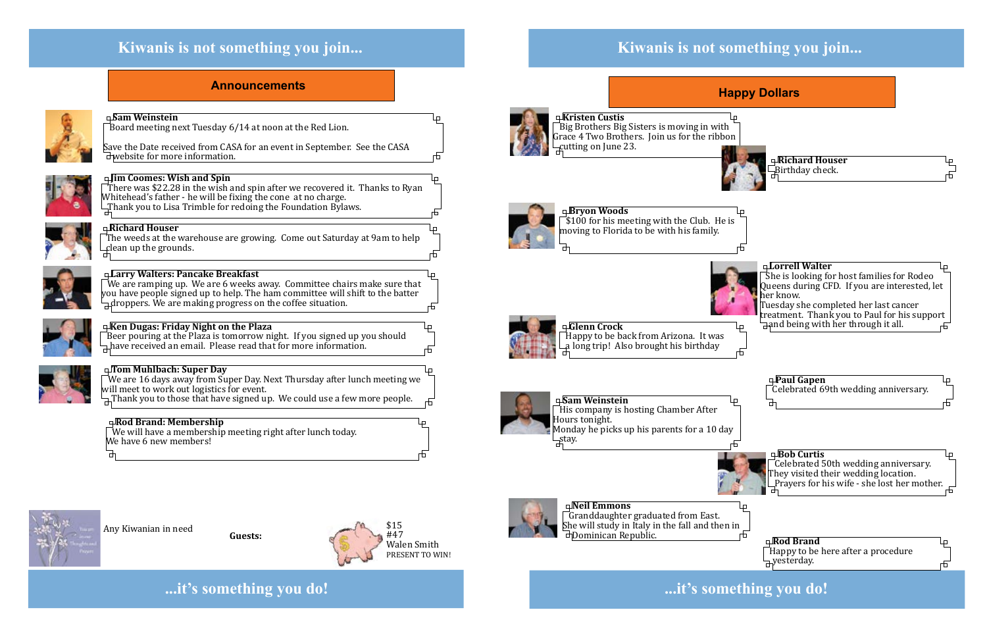### **Kiwanis is not something you join...**

### **...it's something you do!**

### **Announcements**







## **Kiwanis is not something you join...**

Save the Date received from CASA for an event in September. See the CASA  $\exists$  website for more information.



Any Kiwanian in need **Guests:**

There was \$22.28 in the wish and spin after we recovered it. Thanks to Ryan Whitehead's father - he will be fixing the cone at no charge.  $\exists$ Thank you to Lisa Trimble for redoing the Foundation Bylaws.



#### **Sam Weinstein**

Board meeting next Tuesday 6/14 at noon at the Red Lion.

#### **Jim Coomes: Wish and Spin**

Monday he picks up his parents for a 10 day  $\exists$ stay.

#### **Ken Dugas: Friday Night on the Plaza**

 $\mathrm{\bar{\,}}$ Beer pouring at the Plaza is tomorrow night. If you signed up you should  $\exists$  have received an email. Please read that for more information.



### **Happy Dollars**

**Kristen Custis**

Big Brothers Big Sisters is moving in with Grace 4 Two Brothers. Join us for the ribbon cutting on June 23.



We are 16 days away from Super Day. Next Thursday after lunch meeting we will meet to work out logistics for event.  $\exists$ Thank you to those that have signed up. We could use a few more people.

**Sam Weinstein** His company is hosting Chamber After Hours tonight.

We are ramping up. We are 6 weeks away. Committee chairs make sure that you have people signed up to help. The ham committee will shift to the batter  $\exists$  droppers. We are making progress on the coffee situation.



**Neil Emmons** Granddaughter graduated from East. She will study in Italy in the fall and then in  $\mathbb{S}$ Dominican Republic.





**Bryon Woods** \$100 for his meeting with the Club. He is moving to Florida to be with his family.



 $\bar{a}$  We will have a membership meeting right after lunch today. We have 6 new members!





Happy to be back from Arizona. It was



#### **Tom Muhlbach: Super Day**

#### **Larry Walters: Pancake Breakfast**

#### **Richard Houser**

The weeds at the warehouse are growing. Come out Saturday at 9am to help clean up the grounds.



#### **Rod Brand: Membership**